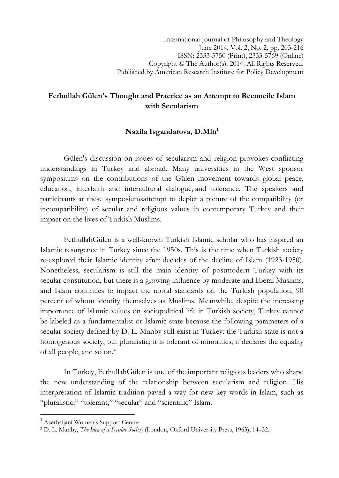## Fethullah Gülen's Thought and Practice as an Attempt to Reconcile Islam with Secularism

## Nazila Isgandarova, D.Min<sup>1</sup>

 Gülen's discussion on issues of secularism and religion provokes conflicting understandings in Turkey and abroad. Many universities in the West sponsor symposiums on the contributions of the Gülen movement towards global peace, education, interfaith and intercultural dialogue, and tolerance. The speakers and participants at these symposiumsattempt to depict a picture of the compatibility (or incompatibility) of secular and religious values in contemporary Turkey and their impact on the lives of Turkish Muslims.

 FethullahGülen is a well-known Turkish Islamic scholar who has inspired an Islamic resurgence in Turkey since the 1950s. This is the time when Turkish society re-explored their Islamic identity after decades of the decline of Islam (1923-1950). Nonetheless, secularism is still the main identity of postmodern Turkey with its secular constitution, but there is a growing influence by moderate and liberal Muslims, and Islam continues to impact the moral standards on the Turkish population, 90 percent of whom identify themselves as Muslims. Meanwhile, despite the increasing importance of Islamic values on sociopolitical life in Turkish society, Turkey cannot be labeled as a fundamentalist or Islamic state because the following parameters of a secular society defined by D. L. Munby still exist in Turkey: the Turkish state is not a homogenous society, but pluralistic; it is tolerant of minorities; it declares the equality of all people, and so on.<sup>2</sup>

In Turkey, FethullahGülen is one of the important religious leaders who shape the new understanding of the relationship between secularism and religion. His interpretation of Islamic tradition paved a way for new key words in Islam, such as "pluralistic," "tolerant," "secular" and "scientific" Islam.

ı

<sup>1</sup> Azerbaijani Women's Support Centre

<sup>&</sup>lt;sup>2</sup> D. L. Munby, The Idea of a Secular Society (London, Oxford University Press, 1963), 14–32.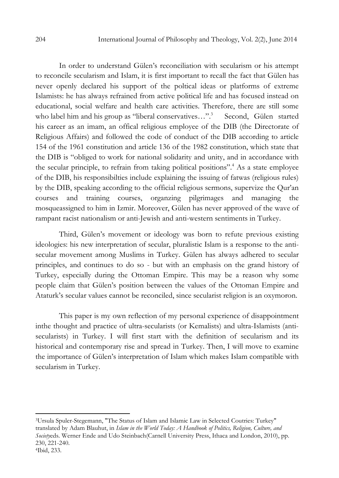In order to understand Gülen's reconciliation with secularism or his attempt to reconcile secularism and Islam, it is first important to recall the fact that Gülen has never openly declared his support of the poltical ideas or platforms of extreme Islamists: he has always refrained from active political life and has focused instead on educational, social welfare and health care activities. Therefore, there are still some who label him and his group as "liberal conservatives...".<sup>3</sup> Second, Gülen started his career as an imam, an offical religious employee of the DIB (the Directorate of Religious Affairs) and followed the code of conduct of the DIB according to article 154 of the 1961 constitution and article 136 of the 1982 constitution, which state that the DIB is "obliged to work for national solidarity and unity, and in accordance with the secular principle, to refrain from taking political positions".<sup>4</sup> As a state employee of the DIB, his responsibilties include explaining the issuing of fatwas (religious rules) by the DIB, speaking according to the official religious sermons, supervize the Qur'an courses and training courses, organzing pilgrimages and managing the mosqueassigned to him in Izmir. Moreover, Gülen has never approved of the wave of rampant racist nationalism or anti-Jewish and anti-western sentiments in Turkey.

Third, Gülen's movement or ideology was born to refute previous existing ideologies: his new interpretation of secular, pluralistic Islam is a response to the antisecular movement among Muslims in Turkey. Gülen has always adhered to secular principles, and continues to do so - but with an emphasis on the grand history of Turkey, especially during the Ottoman Empire. This may be a reason why some people claim that Gülen's position between the values of the Ottoman Empire and Ataturk's secular values cannot be reconciled, since secularist religion is an oxymoron.

This paper is my own reflection of my personal experience of disappointment inthe thought and practice of ultra-secularists (or Kemalists) and ultra-Islamists (antisecularists) in Turkey. I will first start with the definition of secularism and its historical and contemporary rise and spread in Turkey. Then, I will move to examine the importance of Gülen's interpretation of Islam which makes Islam compatible with secularism in Turkey.

<sup>3</sup>Ursula Spuler-Stegemann, "The Status of Islam and Islamic Law in Selected Coutries: Turkey" translated by Adam Blauhut, in Islam in the World Today: A Handbook of Politics, Religion, Culture, and Societyeds. Werner Ende and Udo Steinbach(Carnell University Press, Ithaca and London, 2010), pp. 230, 221-240. 4Ibid, 233.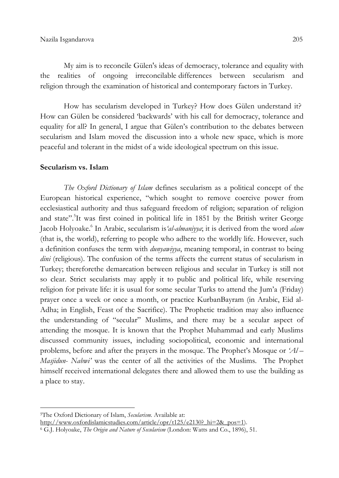My aim is to reconcile Gülen's ideas of democracy, tolerance and equality with the realities of ongoing irreconcilable differences between secularism and religion through the examination of historical and contemporary factors in Turkey.

How has secularism developed in Turkey? How does Gülen understand it? How can Gülen be considered 'backwards' with his call for democracy, tolerance and equality for all? In general, I argue that Gülen's contribution to the debates between secularism and Islam moved the discussion into a whole new space, which is more peaceful and tolerant in the midst of a wide ideological spectrum on this issue.

#### Secularism vs. Islam

The Oxford Dictionary of Islam defines secularism as a political concept of the European historical experience, "which sought to remove coercive power from ecclesiastical authority and thus safeguard freedom of religion; separation of religion and state".<sup>5</sup>It was first coined in political life in 1851 by the British writer George Jacob Holyoake.<sup>6</sup> In Arabic, secularism is 'al-almaniyya; it is derived from the word alam (that is, the world), referring to people who adhere to the worldly life. However, such a definition confuses the term with *dunyawiyya*, meaning temporal, in contrast to being dini (religious). The confusion of the terms affects the current status of secularism in Turkey; thereforethe demarcation between religious and secular in Turkey is still not so clear. Strict secularists may apply it to public and political life, while reserving religion for private life: it is usual for some secular Turks to attend the Jum'a (Friday) prayer once a week or once a month, or practice KurbanBayram (in Arabic, Eid al-Adha; in English, Feast of the Sacrifice). The Prophetic tradition may also influence the understanding of "secular" Muslims, and there may be a secular aspect of attending the mosque. It is known that the Prophet Muhammad and early Muslims discussed community issues, including sociopolitical, economic and international problems, before and after the prayers in the mosque. The Prophet's Mosque or 'Al – Masjidun- Nabwi' was the center of all the activities of the Muslims. The Prophet himself received international delegates there and allowed them to use the building as a place to stay.

 $\overline{\phantom{0}}$ 

http://www.oxfordislamicstudies.com/article/opr/t125/e2130?\_hi=2&\_pos=1).

<sup>&</sup>lt;sup>5</sup>The Oxford Dictionary of Islam, Secularism. Available at:

<sup>&</sup>lt;sup>6</sup> G.J. Holyoake, *The Origin and Nature of Secularism* (London: Watts and Co., 1896), 51.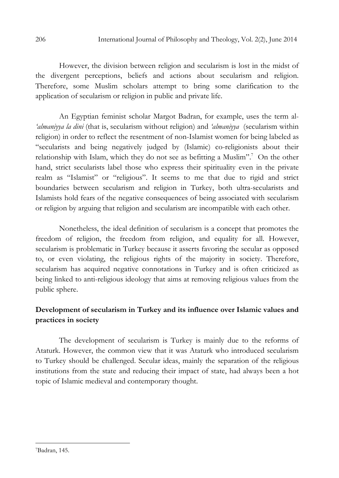However, the division between religion and secularism is lost in the midst of the divergent perceptions, beliefs and actions about secularism and religion. Therefore, some Muslim scholars attempt to bring some clarification to the application of secularism or religion in public and private life.

An Egyptian feminist scholar Margot Badran, for example, uses the term al- 'almaniyya la dini (that is, secularism without religion) and 'almaniyya (secularism within religion) in order to reflect the resentment of non-Islamist women for being labeled as "secularists and being negatively judged by (Islamic) co-religionists about their relationship with Islam, which they do not see as befitting a Muslim".<sup>7</sup> On the other hand, strict secularists label those who express their spirituality even in the private realm as "Islamist" or "religious". It seems to me that due to rigid and strict boundaries between secularism and religion in Turkey, both ultra-secularists and Islamists hold fears of the negative consequences of being associated with secularism or religion by arguing that religion and secularism are incompatible with each other.

 Nonetheless, the ideal definition of secularism is a concept that promotes the freedom of religion, the freedom from religion, and equality for all. However, secularism is problematic in Turkey because it asserts favoring the secular as opposed to, or even violating, the religious rights of the majority in society. Therefore, secularism has acquired negative connotations in Turkey and is often criticized as being linked to anti-religious ideology that aims at removing religious values from the public sphere.

# Development of secularism in Turkey and its influence over Islamic values and practices in society

The development of secularism is Turkey is mainly due to the reforms of Ataturk. However, the common view that it was Ataturk who introduced secularism to Turkey should be challenged. Secular ideas, mainly the separation of the religious institutions from the state and reducing their impact of state, had always been a hot topic of Islamic medieval and contemporary thought.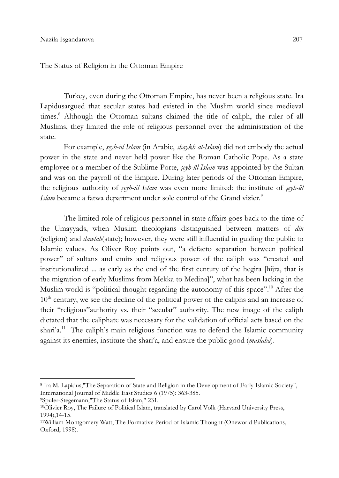The Status of Religion in the Ottoman Empire

Turkey, even during the Ottoman Empire, has never been a religious state. Ira Lapidusargued that secular states had existed in the Muslim world since medieval times.<sup>8</sup> Although the Ottoman sultans claimed the title of caliph, the ruler of all Muslims, they limited the role of religious personnel over the administration of the state.

For example, *seyh-ül Islam* (in Arabic, *shaykh al-Islam*) did not embody the actual power in the state and never held power like the Roman Catholic Pope. As a state employee or a member of the Sublime Porte, *seyh-ül Islam* was appointed by the Sultan and was on the payroll of the Empire. During later periods of the Ottoman Empire, the religious authority of *seyh-ül Islam* was even more limited: the institute of *seyh-ül* Islam became a fatwa department under sole control of the Grand vizier.<sup>9</sup>

 The limited role of religious personnel in state affairs goes back to the time of the Umayyads, when Muslim theologians distinguished between matters of din (religion) and dawlah(state); however, they were still influential in guiding the public to Islamic values. As Oliver Roy points out, "a defacto separation between political power" of sultans and emirs and religious power of the caliph was "created and institutionalized ... as early as the end of the first century of the hegira [hijra, that is the migration of early Muslims from Mekka to Medina]", what has been lacking in the Muslim world is "political thought regarding the autonomy of this space".<sup>10</sup> After the  $10<sup>th</sup>$  century, we see the decline of the political power of the caliphs and an increase of their "religious"authority vs. their "secular" authority. The new image of the caliph dictated that the caliphate was necessary for the validation of official acts based on the shari'a.<sup>11</sup> The caliph's main religious function was to defend the Islamic community against its enemies, institute the shari'a, and ensure the public good (*maslaha*).

 $\overline{\phantom{0}}$ 

<sup>8</sup> Ira M. Lapidus,"The Separation of State and Religion in the Development of Early Islamic Society", International Journal of Middle East Studies 6 (1975): 363-385.

<sup>9</sup>Spuler-Stegemann,"The Status of Islam," 231.

<sup>10</sup>Olivier Roy, The Failure of Political Islam, translated by Carol Volk (Harvard University Press, 1994),14-15.

<sup>11</sup>William Montgomery Watt, The Formative Period of Islamic Thought (Oneworld Publications, Oxford, 1998).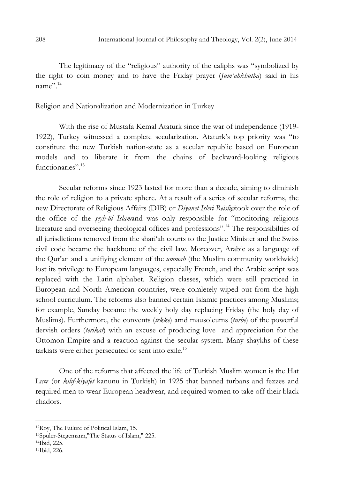The legitimacy of the "religious" authority of the caliphs was "symbolized by the right to coin money and to have the Friday prayer (Jum'ahkhutba) said in his name".<sup>12</sup>

### Religion and Nationalization and Modernization in Turkey

 With the rise of Mustafa Kemal Ataturk since the war of independence (1919- 1922), Turkey witnessed a complete secularization. Ataturk's top priority was "to constitute the new Turkish nation-state as a secular republic based on European models and to liberate it from the chains of backward-looking religious functionaries".<sup>13</sup>

Secular reforms since 1923 lasted for more than a decade, aiming to diminish the role of religion to a private sphere. At a result of a series of secular reforms, the new Directorate of Religious Affairs (DIB) or Diyanet Işleri Reisligitook over the role of the office of the *seyh-ül Islamand* was only responsible for "monitoring religious literature and overseeing theological offices and professions".<sup>14</sup> The responsibilties of all jurisdictions removed from the shari'ah courts to the Justice Minister and the Swiss civil code became the backbone of the civil law. Moreover, Arabic as a language of the Qur'an and a unifiving element of the *ummah* (the Muslim community worldwide) lost its privilege to Europeam languages, especially French, and the Arabic script was replaced with the Latin alphabet. Religion classes, which were still practiced in European and North American countries, were comletely wiped out from the high school curriculum. The reforms also banned certain Islamic practices among Muslims; for example, Sunday became the weekly holy day replacing Friday (the holy day of Muslims). Furthermore, the convents (tekke) amd mausoleums (turbe) of the powerful dervish orders *(terikat)* with an excuse of producing love and appreciation for the Ottomon Empire and a reaction against the secular system. Many shaykhs of these tarkiats were either persecuted or sent into exile.<sup>15</sup>

 One of the reforms that affected the life of Turkish Muslim women is the Hat Law (or kultf-kiyafet kanunu in Turkish) in 1925 that banned turbans and fezzes and required men to wear European headwear, and required women to take off their black chadors.

<sup>12</sup>Roy, The Failure of Political Islam, 15.

<sup>13</sup>Spuler-Stegemann,"The Status of Islam," 225.

<sup>14</sup>Ibid, 225.

<sup>15</sup>Ibid, 226.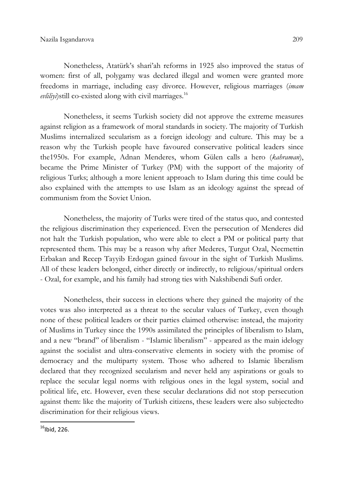Nonetheless, Atatürk's shari'ah reforms in 1925 also improved the status of women: first of all, polygamy was declared illegal and women were granted more freedoms in marriage, including easy divorce. However, religious marriages (imam evliliyi)still co-existed along with civil marriages.<sup>16</sup>

 Nonetheless, it seems Turkish society did not approve the extreme measures against religion as a framework of moral standards in society. The majority of Turkish Muslims internalized secularism as a foreign ideology and culture. This may be a reason why the Turkish people have favoured conservative political leaders since the1950s. For example, Adnan Menderes, whom Gülen calls a hero (kahraman), became the Prime Minister of Turkey (PM) with the support of the majority of religious Turks; although a more lenient approach to Islam during this time could be also explained with the attempts to use Islam as an ideology against the spread of communism from the Soviet Union.

Nonetheless, the majority of Turks were tired of the status quo, and contested the religious discrimination they experienced. Even the persecution of Menderes did not halt the Turkish population, who were able to elect a PM or political party that represented them. This may be a reason why after Mederes, Turgut Ozal, Necmettin Erbakan and Recep Tayyib Erdogan gained favour in the sight of Turkish Muslims. All of these leaders belonged, either directly or indirectly, to religious/spiritual orders - Ozal, for example, and his family had strong ties with Nakshibendi Sufi order.

Nonetheless, their success in elections where they gained the majority of the votes was also interpreted as a threat to the secular values of Turkey, even though none of these political leaders or their parties claimed otherwise: instead, the majority of Muslims in Turkey since the 1990s assimilated the principles of liberalism to Islam, and a new "brand" of liberalism - "Islamic liberalism" - appeared as the main idelogy against the socialist and ultra-conservative elements in society with the promise of democracy and the multiparty system. Those who adhered to Islamic liberalism declared that they recognized secularism and never held any aspirations or goals to replace the secular legal norms with religious ones in the legal system, social and political life, etc. However, even these secular declarations did not stop persecution against them: like the majority of Turkish citizens, these leaders were also subjectedto discrimination for their religious views.

ı

 $16$ Ibid, 226.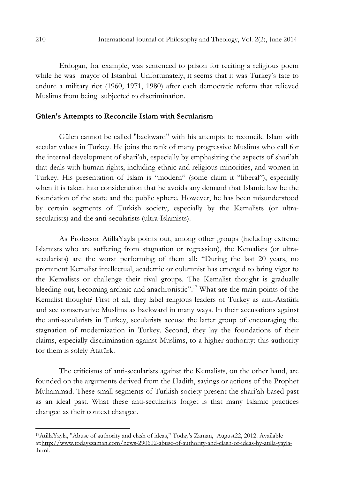Erdogan, for example, was sentenced to prison for reciting a religious poem while he was mayor of Istanbul. Unfortunately, it seems that it was Turkey's fate to endure a military riot (1960, 1971, 1980) after each democratic reform that relieved Muslims from being subjected to discrimination.

### Gülen's Attempts to Reconcile Islam with Secularism

Gülen cannot be called "backward" with his attempts to reconcile Islam with secular values in Turkey. He joins the rank of many progressive Muslims who call for the internal development of shari'ah, especially by emphasizing the aspects of shari'ah that deals with human rights, including ethnic and religious minorities, and women in Turkey. His presentation of Islam is "modern" (some claim it "liberal"), especially when it is taken into consideration that he avoids any demand that Islamic law be the foundation of the state and the public sphere. However, he has been misunderstood by certain segments of Turkish society, especially by the Kemalists (or ultrasecularists) and the anti-secularists (ultra-Islamists).

As Professor AtillaYayla points out, among other groups (including extreme Islamists who are suffering from stagnation or regression), the Kemalists (or ultrasecularists) are the worst performing of them all: "During the last 20 years, no prominent Kemalist intellectual, academic or columnist has emerged to bring vigor to the Kemalists or challenge their rival groups. The Kemalist thought is gradually bleeding out, becoming archaic and anachronistic".<sup>17</sup> What are the main points of the Kemalist thought? First of all, they label religious leaders of Turkey as anti-Atatürk and see conservative Muslims as backward in many ways. In their accusations against the anti-secularists in Turkey, secularists accuse the latter group of encouraging the stagnation of modernization in Turkey. Second, they lay the foundations of their claims, especially discrimination against Muslims, to a higher authority: this authority for them is solely Atatürk.

The criticisms of anti-secularists against the Kemalists, on the other hand, are founded on the arguments derived from the Hadith, sayings or actions of the Prophet Muhammad. These small segments of Turkish society present the shari'ah-based past as an ideal past. What these anti-secularists forget is that many Islamic practices changed as their context changed.

<sup>17</sup>AtillaYayla, "Abuse of authority and clash of ideas," Today's Zaman, August22, 2012. Available at:http://www.todayszaman.com/news-290602-abuse-of-authority-and-clash-of-ideas-by-atilla-yayla- .html.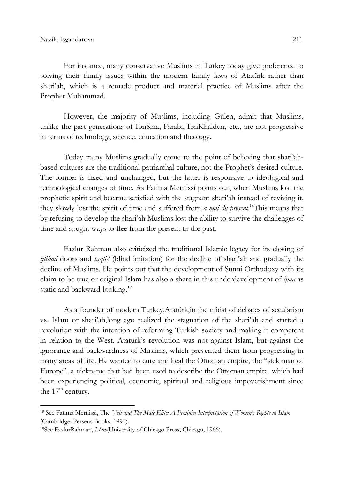For instance, many conservative Muslims in Turkey today give preference to solving their family issues within the modern family laws of Atatürk rather than shari'ah, which is a remade product and material practice of Muslims after the Prophet Muhammad.

However, the majority of Muslims, including Gülen, admit that Muslims, unlike the past generations of IbnSina, Farabi, IbnKhaldun, etc., are not progressive in terms of technology, science, education and theology.

Today many Muslims gradually come to the point of believing that shari'ahbased cultures are the traditional patriarchal culture, not the Prophet's desired culture. The former is fixed and unchanged, but the latter is responsive to ideological and technological changes of time. As Fatima Mernissi points out, when Muslims lost the prophetic spirit and became satisfied with the stagnant shari'ah instead of reviving it, they slowly lost the spirit of time and suffered from *a mal du present*.<sup>18</sup>This means that by refusing to develop the shari'ah Muslims lost the ability to survive the challenges of time and sought ways to flee from the present to the past.

Fazlur Rahman also criticized the traditional Islamic legacy for its closing of itibad doors and *taqlid* (blind imitation) for the decline of shari'ah and gradually the decline of Muslims. He points out that the development of Sunni Orthodoxy with its claim to be true or original Islam has also a share in this underdevelopment of  $\lim_{n \to \infty} a$ static and backward-looking.<sup>19</sup>

As a founder of modern Turkey,Atatürk,in the midst of debates of secularism vs. Islam or shari'ah,long ago realized the stagnation of the shari'ah and started a revolution with the intention of reforming Turkish society and making it competent in relation to the West. Atatürk's revolution was not against Islam, but against the ignorance and backwardness of Muslims, which prevented them from progressing in many areas of life. He wanted to cure and heal the Ottoman empire, the "sick man of Europe", a nickname that had been used to describe the Ottoman empire, which had been experiencing political, economic, spiritual and religious impoverishment since the  $17<sup>th</sup>$  century.

 $\overline{\phantom{0}}$ 

<sup>&</sup>lt;sup>18</sup> See Fatima Mernissi, The Veil and The Male Elite: A Feminist Interpretation of Women's Rights in Islam (Cambridge: Perseus Books, 1991).

<sup>&</sup>lt;sup>19</sup>See FazlurRahman, *Islam*(University of Chicago Press, Chicago, 1966).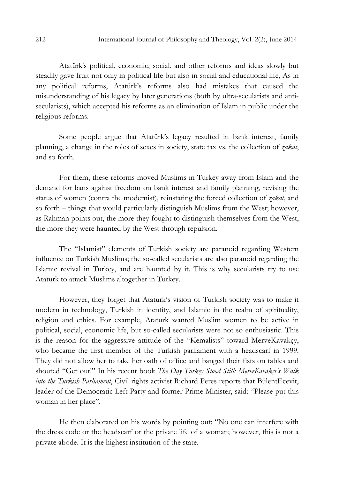Atatürk's political, economic, social, and other reforms and ideas slowly but steadily gave fruit not only in political life but also in social and educational life, As in any political reforms, Atatürk's reforms also had mistakes that caused the misunderstanding of his legacy by later generations (both by ultra-secularists and antisecularists), which accepted his reforms as an elimination of Islam in public under the religious reforms.

Some people argue that Atatürk's legacy resulted in bank interest, family planning, a change in the roles of sexes in society, state tax vs. the collection of *zakat*, and so forth.

For them, these reforms moved Muslims in Turkey away from Islam and the demand for bans against freedom on bank interest and family planning, revising the status of women (contra the modernist), reinstating the forced collection of *zakat*, and so forth – things that would particularly distinguish Muslims from the West; however, as Rahman points out, the more they fought to distinguish themselves from the West, the more they were haunted by the West through repulsion.

The "Islamist" elements of Turkish society are paranoid regarding Western influence on Turkish Muslims; the so-called secularists are also paranoid regarding the Islamic revival in Turkey, and are haunted by it. This is why secularists try to use Ataturk to attack Muslims altogether in Turkey.

However, they forget that Ataturk's vision of Turkish society was to make it modern in technology, Turkish in identity, and Islamic in the realm of spirituality, religion and ethics. For example, Ataturk wanted Muslim women to be active in political, social, economic life, but so-called secularists were not so enthusiastic. This is the reason for the aggressive attitude of the "Kemalists" toward MerveKavakçy, who became the first member of the Turkish parliament with a headscarf in 1999. They did not allow her to take her oath of office and banged their fists on tables and shouted "Get out!" In his recent book The Day Turkey Stood Still: MerveKavakçı's Walk into the Turkish Parliament, Civil rights activist Richard Peres reports that BülentEcevit, leader of the Democratic Left Party and former Prime Minister, said: "Please put this woman in her place".

He then elaborated on his words by pointing out: "No one can interfere with the dress code or the headscarf or the private life of a woman; however, this is not a private abode. It is the highest institution of the state.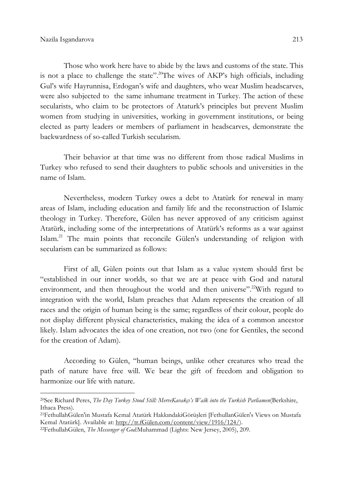$\overline{\phantom{0}}$ 

Those who work here have to abide by the laws and customs of the state. This is not a place to challenge the state".<sup>20</sup>The wives of AKP's high officials, including Gul's wife Hayrunnisa, Erdogan's wife and daughters, who wear Muslim headscarves, were also subjected to the same inhumane treatment in Turkey. The action of these secularists, who claim to be protectors of Ataturk's principles but prevent Muslim women from studying in universities, working in government institutions, or being elected as party leaders or members of parliament in headscarves, demonstrate the backwardness of so-called Turkish secularism.

Their behavior at that time was no different from those radical Muslims in Turkey who refused to send their daughters to public schools and universities in the name of Islam.

Nevertheless, modern Turkey owes a debt to Atatürk for renewal in many areas of Islam, including education and family life and the reconstruction of Islamic theology in Turkey. Therefore, Gülen has never approved of any criticism against Atatürk, including some of the interpretations of Atatürk's reforms as a war against Islam.<sup>21</sup> The main points that reconcile Gülen's understanding of religion with secularism can be summarized as follows:

First of all, Gülen points out that Islam as a value system should first be "established in our inner worlds, so that we are at peace with God and natural environment, and then throughout the world and then universe".<sup>22</sup>With regard to integration with the world, Islam preaches that Adam represents the creation of all races and the origin of human being is the same; regardless of their colour, people do not display different physical characteristics, making the idea of a common ancestor likely. Islam advocates the idea of one creation, not two (one for Gentiles, the second for the creation of Adam).

According to Gülen, "human beings, unlike other creatures who tread the path of nature have free will. We bear the gift of freedom and obligation to harmonize our life with nature.

<sup>&</sup>lt;sup>20</sup>See Richard Peres, The Day Turkey Stood Still: MerveKavakçı's Walk into the Turkish Parliamen(Berkshire, Ithaca Press).

<sup>21</sup>FethullahGülen'in Mustafa Kemal Atatürk HakkındakiGörüşleri [FethullanGülen's Views on Mustafa Kemal Atatürk]. Available at: http://tr.fGülen.com/content/view/1916/124/).

<sup>&</sup>lt;sup>22</sup>FethullahGülen, The Messenger of God:Muhammad (Lights: New Jersey, 2005), 209.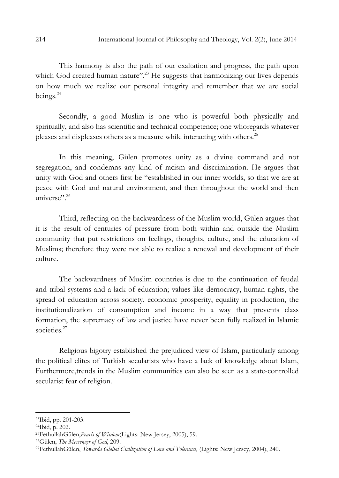This harmony is also the path of our exaltation and progress, the path upon which God created human nature".<sup>23</sup> He suggests that harmonizing our lives depends on how much we realize our personal integrity and remember that we are social beings.<sup>24</sup>

Secondly, a good Muslim is one who is powerful both physically and spiritually, and also has scientific and technical competence; one whoregards whatever pleases and displeases others as a measure while interacting with others.<sup>25</sup>

In this meaning, Gülen promotes unity as a divine command and not segregation, and condemns any kind of racism and discrimination. He argues that unity with God and others first be "established in our inner worlds, so that we are at peace with God and natural environment, and then throughout the world and then universe".<sup>26</sup>

Third, reflecting on the backwardness of the Muslim world, Gülen argues that it is the result of centuries of pressure from both within and outside the Muslim community that put restrictions on feelings, thoughts, culture, and the education of Muslims; therefore they were not able to realize a renewal and development of their culture.

The backwardness of Muslim countries is due to the continuation of feudal and tribal systems and a lack of education; values like democracy, human rights, the spread of education across society, economic prosperity, equality in production, the institutionalization of consumption and income in a way that prevents class formation, the supremacy of law and justice have never been fully realized in Islamic societies<sup>27</sup>

Religious bigotry established the prejudiced view of Islam, particularly among the political elites of Turkish secularists who have a lack of knowledge about Islam, Furthermore,trends in the Muslim communities can also be seen as a state-controlled secularist fear of religion.

<sup>23</sup>Ibid, pp. 201-203.

<sup>24</sup>Ibid, p. 202.

<sup>&</sup>lt;sup>25</sup>FethullahGülen, Pearls of Wisdom(Lights: New Jersey, 2005), 59.

<sup>&</sup>lt;sup>26</sup>Gülen, *The Messenger of God*, 209.

<sup>&</sup>lt;sup>27</sup>FethullahGülen, Towarda Global Civilization of Love and Tolerance, (Lights: New Jersey, 2004), 240.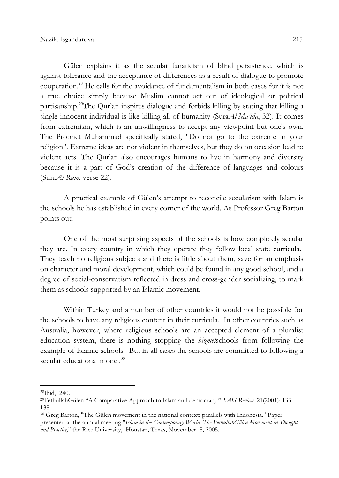Gülen explains it as the secular fanaticism of blind persistence, which is against tolerance and the acceptance of differences as a result of dialogue to promote cooperation.<sup>28</sup> He calls for the avoidance of fundamentalism in both cases for it is not a true choice simply because Muslim cannot act out of ideological or political partisanship.<sup>29</sup>The Qur'an inspires dialogue and forbids killing by stating that killing a single innocent individual is like killing all of humanity (Sura $Al-Ma'ida$ , 32). It comes from extremism, which is an unwillingness to accept any viewpoint but one's own. The Prophet Muhammad specifically stated, "Do not go to the extreme in your religion". Extreme ideas are not violent in themselves, but they do on occasion lead to violent acts. The Qur'an also encourages humans to live in harmony and diversity because it is a part of God's creation of the difference of languages and colours (SuraAl-Rum, verse 22).

 A practical example of Gülen's attempt to reconcile secularism with Islam is the schools he has established in every corner of the world. As Professor Greg Barton points out:

One of the most surprising aspects of the schools is how completely secular they are. In every country in which they operate they follow local state curricula. They teach no religious subjects and there is little about them, save for an emphasis on character and moral development, which could be found in any good school, and a degree of social-conservatism reflected in dress and cross-gender socializing, to mark them as schools supported by an Islamic movement.

Within Turkey and a number of other countries it would not be possible for the schools to have any religious content in their curricula. In other countries such as Australia, however, where religious schools are an accepted element of a pluralist education system, there is nothing stopping the *hizmetschools* from following the example of Islamic schools. But in all cases the schools are committed to following a secular educational model.<sup>30</sup>

 $\overline{\phantom{0}}$ 

<sup>28</sup>Ibid, 240.

<sup>&</sup>lt;sup>29</sup>FethullahGülen, "A Comparative Approach to Islam and democracy." SAIS Review 21(2001): 133-138.

<sup>30</sup> Greg Barton, "The Gülen movement in the national context: parallels with Indonesia." Paper presented at the annual meeting "Islam in the Contemporary World: The FethullahGülen Movement in Thought and Practice," the Rice University, Houstan, Texas, November 8, 2005.